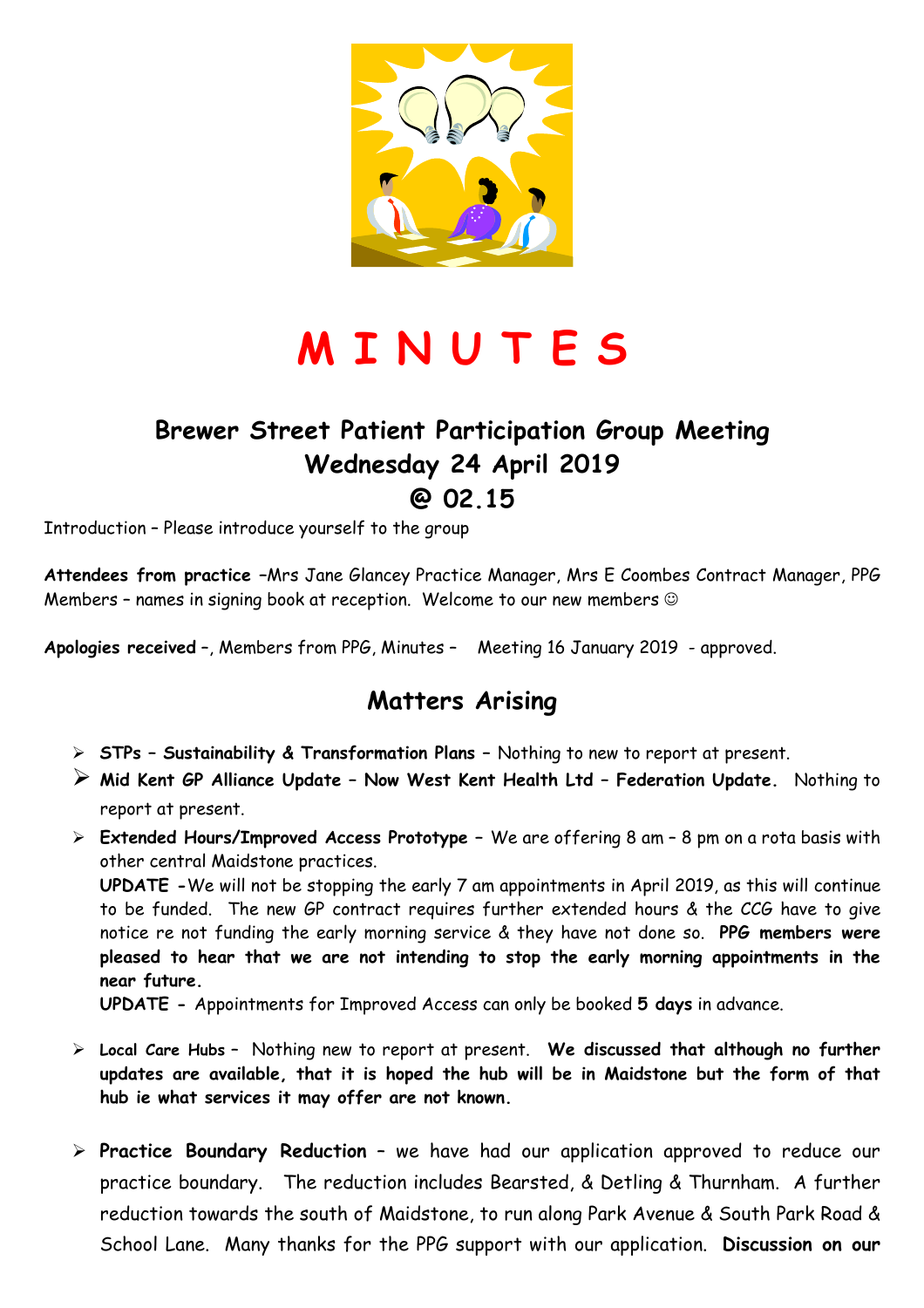

# **M I N U T E S**

### **Brewer Street Patient Participation Group Meeting Wednesday 24 April 2019 @ 02.15**

Introduction – Please introduce yourself to the group

**Attendees from practice –**Mrs Jane Glancey Practice Manager, Mrs E Coombes Contract Manager, PPG Members - names in signing book at reception. Welcome to our new members  $\odot$ 

**Apologies received** –, Members from PPG, Minutes – Meeting 16 January 2019 - approved.

### **Matters Arising**

- **STPs Sustainability & Transformation Plans** Nothing to new to report at present.
- **Mid Kent GP Alliance Update Now West Kent Health Ltd Federation Update.** Nothing to report at present.
- **Extended Hours/Improved Access Prototype** We are offering 8 am 8 pm on a rota basis with other central Maidstone practices.

**UPDATE -**We will not be stopping the early 7 am appointments in April 2019, as this will continue to be funded. The new GP contract requires further extended hours & the CCG have to give notice re not funding the early morning service & they have not done so. **PPG members were pleased to hear that we are not intending to stop the early morning appointments in the near future.** 

**UPDATE -** Appointments for Improved Access can only be booked **5 days** in advance.

- **Local Care Hubs** Nothing new to report at present. **We discussed that although no further updates are available, that it is hoped the hub will be in Maidstone but the form of that hub ie what services it may offer are not known.**
- **Practice Boundary Reduction** we have had our application approved to reduce our practice boundary. The reduction includes Bearsted, & Detling & Thurnham. A further reduction towards the south of Maidstone, to run along Park Avenue & South Park Road & School Lane. Many thanks for the PPG support with our application. **Discussion on our**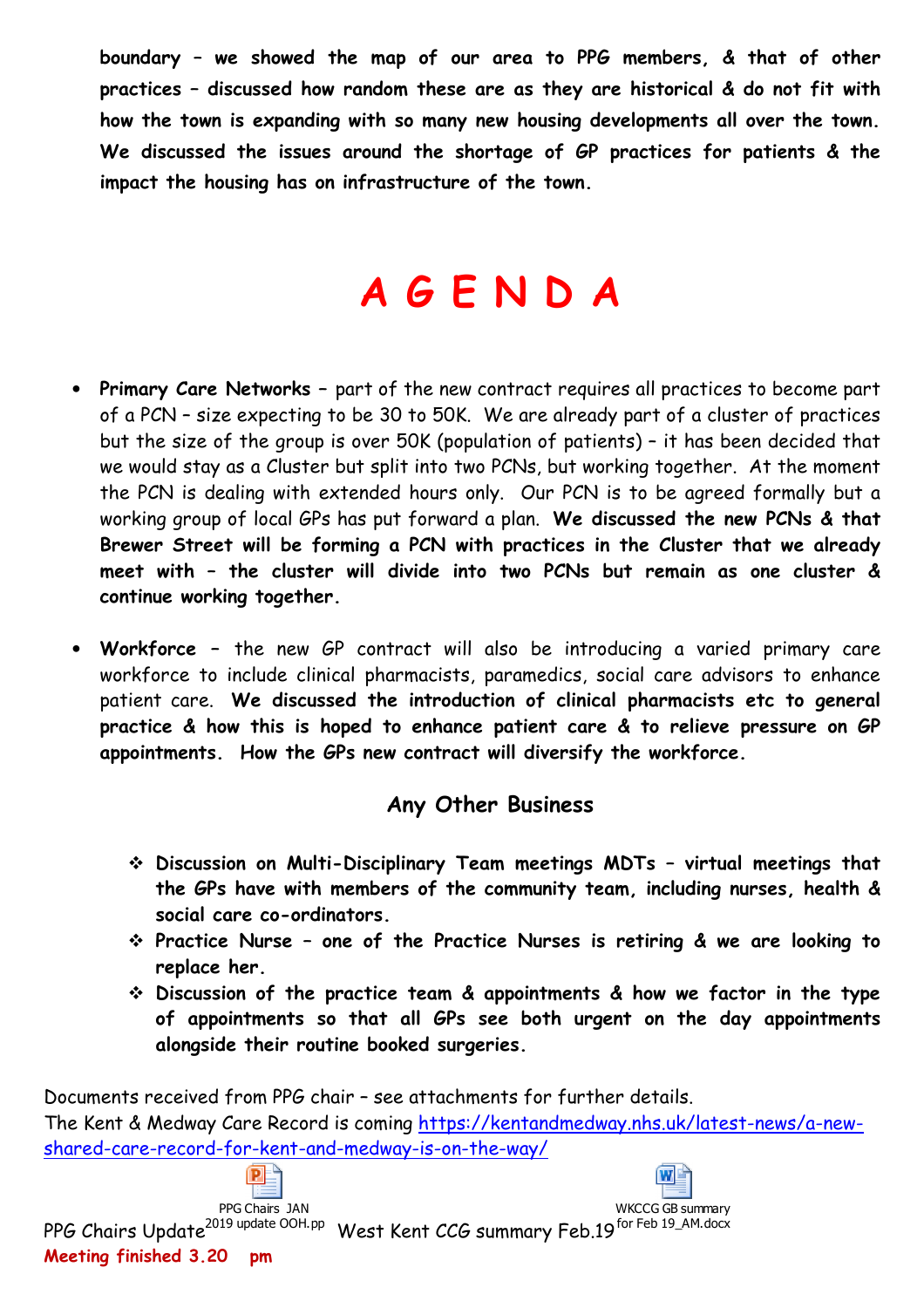**boundary – we showed the map of our area to PPG members, & that of other practices – discussed how random these are as they are historical & do not fit with how the town is expanding with so many new housing developments all over the town. We discussed the issues around the shortage of GP practices for patients & the impact the housing has on infrastructure of the town.** 

## **A G E N D A**

- **Primary Care Networks** part of the new contract requires all practices to become part of a PCN – size expecting to be 30 to 50K. We are already part of a cluster of practices but the size of the group is over 50K (population of patients) – it has been decided that we would stay as a Cluster but split into two PCNs, but working together. At the moment the PCN is dealing with extended hours only. Our PCN is to be agreed formally but a working group of local GPs has put forward a plan. **We discussed the new PCNs & that Brewer Street will be forming a PCN with practices in the Cluster that we already meet with – the cluster will divide into two PCNs but remain as one cluster & continue working together.**
- **Workforce** the new GP contract will also be introducing a varied primary care workforce to include clinical pharmacists, paramedics, social care advisors to enhance patient care. **We discussed the introduction of clinical pharmacists etc to general practice & how this is hoped to enhance patient care & to relieve pressure on GP appointments. How the GPs new contract will diversify the workforce.**

#### **Any Other Business**

- **Discussion on Multi-Disciplinary Team meetings MDTs virtual meetings that the GPs have with members of the community team, including nurses, health & social care co-ordinators.**
- **Practice Nurse one of the Practice Nurses is retiring & we are looking to replace her.**
- **Discussion of the practice team & appointments & how we factor in the type of appointments so that all GPs see both urgent on the day appointments alongside their routine booked surgeries.**

Documents received from PPG chair – see attachments for further details. The Kent & Medway Care Record is coming https://kentandmedway.nhs.uk/latest-news/a-newshared-care-record-for-kent-and-medway-is-on-the-way/





PPG Chairs Update<sup>2019 update OOH.pp</sup> West Kent *CCG* summary Feb.19 <sup>for Feb 19\_AM.docx</sup> PPG Chairs JAN WKCCG GB summary **Meeting finished 3.20 pm**